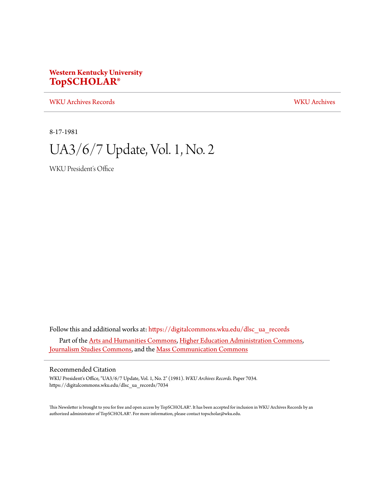### **Western Kentucky University [TopSCHOLAR®](https://digitalcommons.wku.edu?utm_source=digitalcommons.wku.edu%2Fdlsc_ua_records%2F7034&utm_medium=PDF&utm_campaign=PDFCoverPages)**

[WKU Archives Records](https://digitalcommons.wku.edu/dlsc_ua_records?utm_source=digitalcommons.wku.edu%2Fdlsc_ua_records%2F7034&utm_medium=PDF&utm_campaign=PDFCoverPages) [WKU Archives](https://digitalcommons.wku.edu/dlsc_ua?utm_source=digitalcommons.wku.edu%2Fdlsc_ua_records%2F7034&utm_medium=PDF&utm_campaign=PDFCoverPages)

8-17-1981

# UA3/6/7 Update, Vol. 1, No. 2

WKU President's Office

Follow this and additional works at: [https://digitalcommons.wku.edu/dlsc\\_ua\\_records](https://digitalcommons.wku.edu/dlsc_ua_records?utm_source=digitalcommons.wku.edu%2Fdlsc_ua_records%2F7034&utm_medium=PDF&utm_campaign=PDFCoverPages) Part of the [Arts and Humanities Commons](http://network.bepress.com/hgg/discipline/438?utm_source=digitalcommons.wku.edu%2Fdlsc_ua_records%2F7034&utm_medium=PDF&utm_campaign=PDFCoverPages), [Higher Education Administration Commons](http://network.bepress.com/hgg/discipline/791?utm_source=digitalcommons.wku.edu%2Fdlsc_ua_records%2F7034&utm_medium=PDF&utm_campaign=PDFCoverPages), [Journalism Studies Commons](http://network.bepress.com/hgg/discipline/333?utm_source=digitalcommons.wku.edu%2Fdlsc_ua_records%2F7034&utm_medium=PDF&utm_campaign=PDFCoverPages), and the [Mass Communication Commons](http://network.bepress.com/hgg/discipline/334?utm_source=digitalcommons.wku.edu%2Fdlsc_ua_records%2F7034&utm_medium=PDF&utm_campaign=PDFCoverPages)

#### Recommended Citation

WKU President's Office, "UA3/6/7 Update, Vol. 1, No. 2" (1981). *WKU Archives Records.* Paper 7034. https://digitalcommons.wku.edu/dlsc\_ua\_records/7034

This Newsletter is brought to you for free and open access by TopSCHOLAR®. It has been accepted for inclusion in WKU Archives Records by an authorized administrator of TopSCHOLAR®. For more information, please contact topscholar@wku.edu.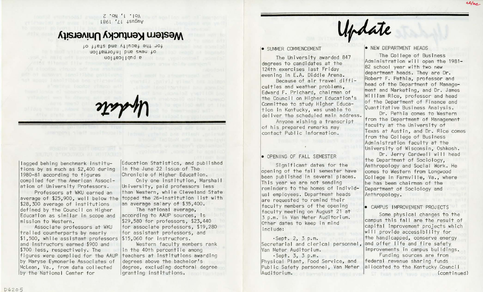$Z \cdot \circ N'$  i  $\circ \circ N$ l 861 'Ll +sn6nv

## Western Kentucky University

}O *tte+s* pue A+ 1nJe} a4.J- JO} uoltsmight bhs avenue to uoltebilduq se estate di mandre di mandre di mandre di mandre di mandre di mandre di mandre di mandre di mandr<br>Altre di mandre di mandre di mandre di mandre di mandre di mandre di mandre di mandre di mandre di mandre di m

lagged behing benchmark institut ions by as much as \$2 , 400 during 1980-81 according to figures compiled for the American Association of University Professors .

Professors at WKU earned an \$28,300 average of institutions defined by the Council on Higher Education as similar in scope and mission to Western .

Associate professors at WKU trailed counterparts by nearly  $\$1,500$ , while assistant professors  $\$15,060$  for instructors. and instructors earned \$900 and \$700 less, respectively. The figures were compi led for the AAUP by Maryse Eymonerie Associates of McLean, Va., from data collected by the National Center for

Education Stat istics, and published in the June 22 issue of The Chronicle of Higher Education.

average of \$25,900, well below the topped the 26-institution list with Only one institution, Marshal I Un iversity, paid professors less than Western, while Cleveland State an average salary of \$35,400.<br>The national average,

according to AAUP sources, is \$29 , 580 for professors, \$23, 440 for associate professors, \$19 , 280 for assistant professors, and

Western faculty members rank in the 40th percentile among teachers at institutions awarding degrees above the bachelor's degree, excluding doctoral degree granting institutions.

Update

#### **• SUMMER COMMENCEMENT**

The University awarded 847 degrees to candidates at the 124th exercises last Friday evening in E.A. Diddle Arena.

Because of air travel difficulties and weather problems, Edward F. Prichard, chairman of the Council on Higher Education's Committee to study Higher Education in Kentucky, was unable to deliver the scheduled main address.

Anyone wishing a transcript of his prepared remarks may contact Pub! ic Information .

#### • OPENING OF FALL SEMESTER

Significant dates for the opening of the fall semester have been published in several places. This year we are not sending reminders to the homes of individual employees. Department heads are requested to remind their faculty members of the opening faculty meeting on August 21 at 3 p.m. in Van Meter Auditorium. Other dates to keep in mi nd include :

•Sept. 2, 3 p. m. Secretarial and clerical personnel, Van Meter Auditorium.

· Sept . 3, 3 p. m. Physical Plant, Food Service, and Public Safety personnel, Van Meter Auditori um.

#### • NEW DEPARTMENT HEADS

The College of Business Administration will open the 1981-82 school year with two new department heads. They are Dr. Robert F. Pethia, professor and head of the Department of Management and Marketing, and Dr. James William Rice, professor and head of the Department of Finance and Quantitative Business Analysis.

Dr. Pethia comes to Western from the Department of Management faculty at the University of Texas at Austin, and Dr. Rice comes from the College of Business Administration faculty at the Un iversity of Wisconsin, Oshkosh .

Dr. Jerry Cardwell will head the Department of Sociology, Anthropology and Social Work. He comes to Western from Longwood College in Farmville, Va., where he has been chairman of the Department of Sociology and Anthropology.

#### • CAMPUS IMPROVEMENT PROJECTS

Some physical changes to the campus this fall are the result of capital improvement projects which will provide accessibility for the handicapped, conserve energy and offer life and fire safety improvements in campus buildings.

Funding sources are from federal revenue sharing funds al located to the Kentucky Counci I (continued)